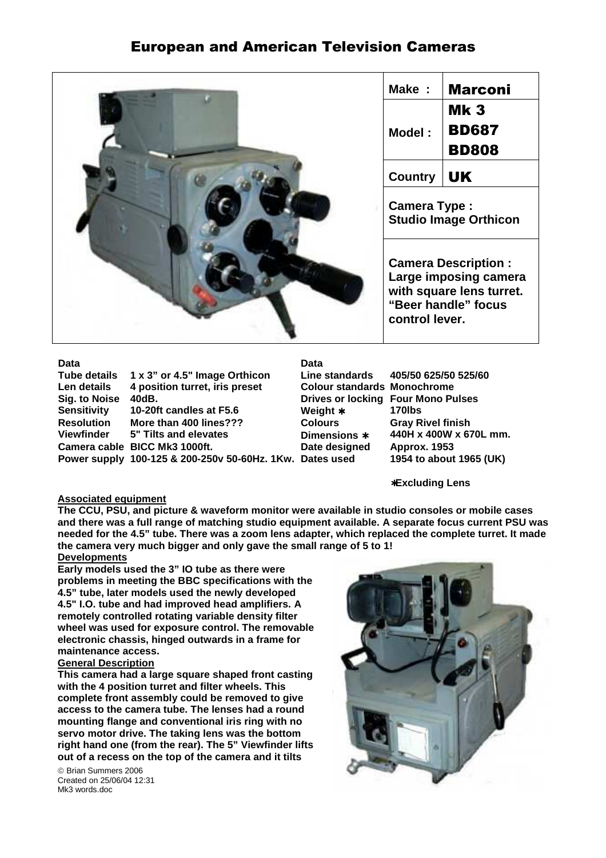## European and American Television Cameras



**Data Data Tube details 1 x 3" or 4.5" Image Orthicon Line standards 405/50 625/50 525/60 Len details 4 position turret, iris preset Colour standards Monochrome Sig. to Noise 40dB. Drives or locking Four Mono Pulses Sensitivity 10-20ft candles at F5.6 Weight ∗** 170lbs **Colours** 170lbs **170lbs More than 400 lines???** Colours Grav Rivel finish **More than 400 lines???**<br>5" Tilts and elevates **Viewfinder 5" Tilts and elevates Dimensions** ∗ **440H x 400W x 670L mm. Camera cable BICC Mk3 1000ft. Date designed Approx. 1953 Power supply 100-125 & 200-250v 50-60Hz. 1Kw. Dates used 1954 to about 1965 (UK)**

∗**Excluding Lens**

## **Associated equipment**

**The CCU, PSU, and picture & waveform monitor were available in studio consoles or mobile cases and there was a full range of matching studio equipment available. A separate focus current PSU was needed for the 4.5" tube. There was a zoom lens adapter, which replaced the complete turret. It made the camera very much bigger and only gave the small range of 5 to 1! Developments**

**Early models used the 3" IO tube as there were problems in meeting the BBC specifications with the 4.5" tube, later models used the newly developed 4.5" I.O. tube and had improved head amplifiers. A remotely controlled rotating variable density filter wheel was used for exposure control. The removable electronic chassis, hinged outwards in a frame for maintenance access.**

## **General Description**

**This camera had a large square shaped front casting with the 4 position turret and filter wheels. This complete front assembly could be removed to give access to the camera tube. The lenses had a round mounting flange and conventional iris ring with no servo motor drive. The taking lens was the bottom right hand one (from the rear). The 5" Viewfinder lifts out of a recess on the top of the camera and it tilts**

<sup>©</sup> Brian Summers 2006 Created on 25/06/04 12:31 Mk3 words.doc